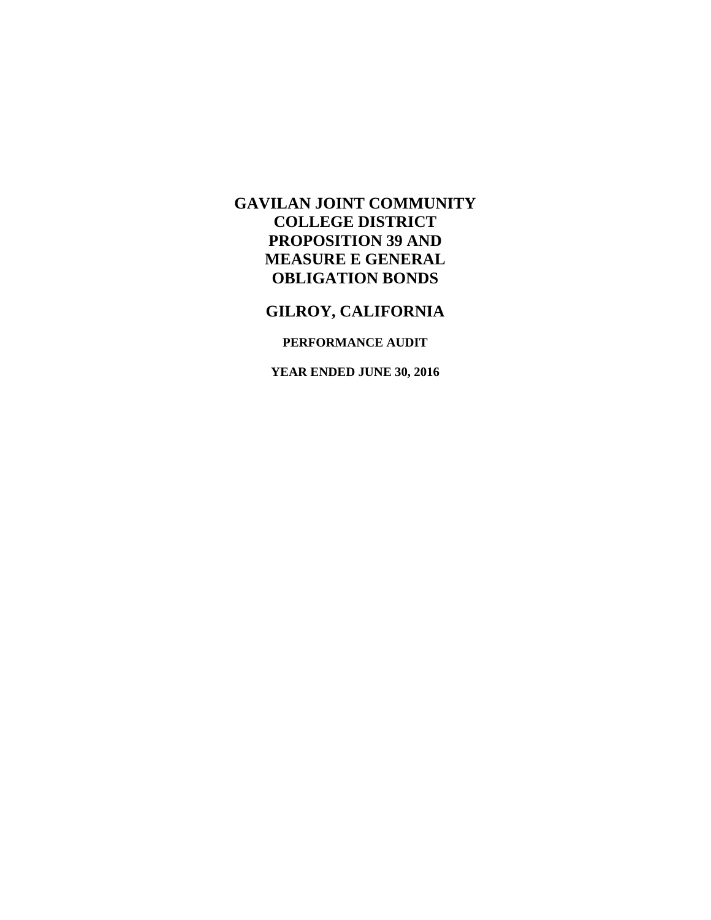# **GILROY, CALIFORNIA**

## **PERFORMANCE AUDIT**

**YEAR ENDED JUNE 30, 2016**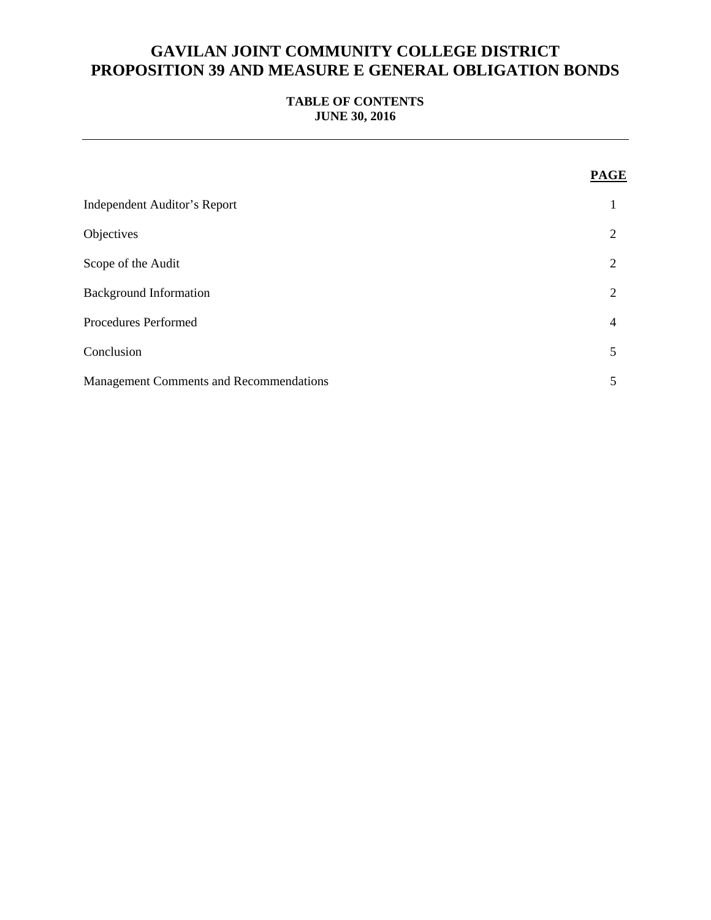## **TABLE OF CONTENTS JUNE 30, 2016**

|                                                | PAGE           |
|------------------------------------------------|----------------|
| <b>Independent Auditor's Report</b>            |                |
| Objectives                                     | $\overline{2}$ |
| Scope of the Audit                             | $\overline{2}$ |
| <b>Background Information</b>                  | $\overline{c}$ |
| Procedures Performed                           | $\overline{4}$ |
| Conclusion                                     | 5              |
| <b>Management Comments and Recommendations</b> | 5              |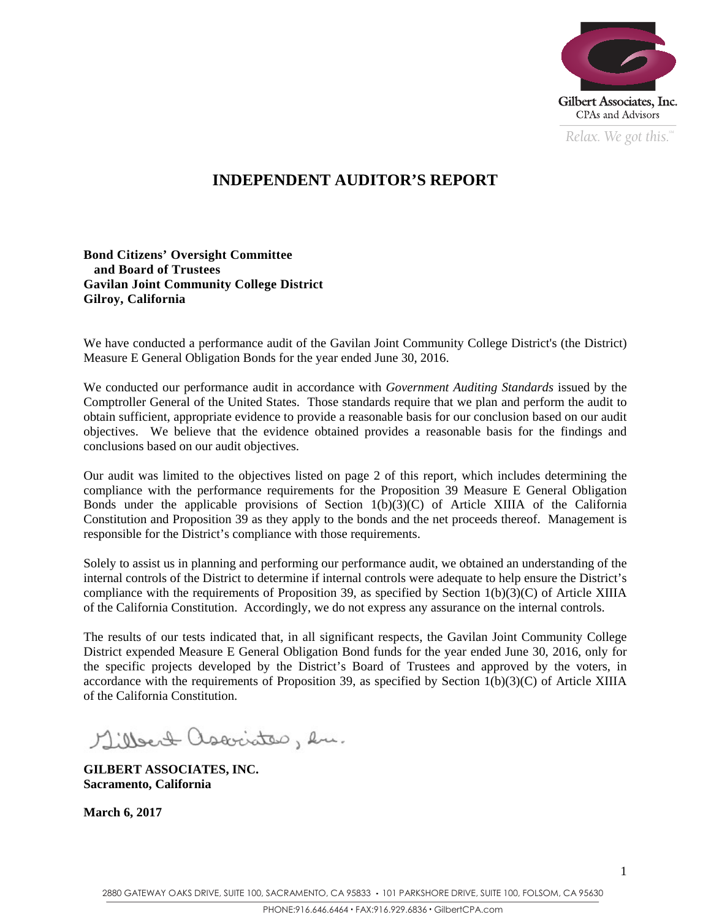

*Relax. We got this.*  $\alpha$ 

## **INDEPENDENT AUDITOR'S REPORT**

### **Bond Citizens' Oversight Committee and Board of Trustees Gavilan Joint Community College District Gilroy, California**

We have conducted a performance audit of the Gavilan Joint Community College District's (the District) Measure E General Obligation Bonds for the year ended June 30, 2016.

We conducted our performance audit in accordance with *Government Auditing Standards* issued by the Comptroller General of the United States. Those standards require that we plan and perform the audit to obtain sufficient, appropriate evidence to provide a reasonable basis for our conclusion based on our audit objectives. We believe that the evidence obtained provides a reasonable basis for the findings and conclusions based on our audit objectives.

Our audit was limited to the objectives listed on page 2 of this report, which includes determining the compliance with the performance requirements for the Proposition 39 Measure E General Obligation Bonds under the applicable provisions of Section  $1(b)(3)(C)$  of Article XIIIA of the California Constitution and Proposition 39 as they apply to the bonds and the net proceeds thereof. Management is responsible for the District's compliance with those requirements.

Solely to assist us in planning and performing our performance audit, we obtained an understanding of the internal controls of the District to determine if internal controls were adequate to help ensure the District's compliance with the requirements of Proposition 39, as specified by Section 1(b)(3)(C) of Article XIIIA of the California Constitution. Accordingly, we do not express any assurance on the internal controls.

The results of our tests indicated that, in all significant respects, the Gavilan Joint Community College District expended Measure E General Obligation Bond funds for the year ended June 30, 2016, only for the specific projects developed by the District's Board of Trustees and approved by the voters, in accordance with the requirements of Proposition 39, as specified by Section  $1(b)(3)(C)$  of Article XIIIA of the California Constitution.

Millert associates, en.

**GILBERT ASSOCIATES, INC. Sacramento, California** 

**March 6, 2017**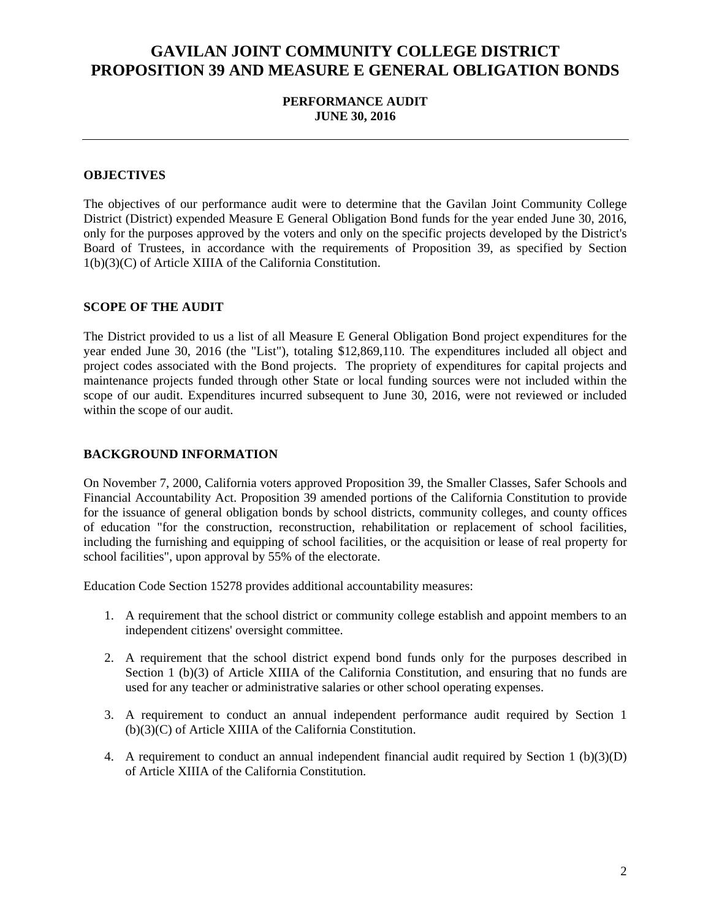## **PERFORMANCE AUDIT JUNE 30, 2016**

### **OBJECTIVES**

The objectives of our performance audit were to determine that the Gavilan Joint Community College District (District) expended Measure E General Obligation Bond funds for the year ended June 30, 2016, only for the purposes approved by the voters and only on the specific projects developed by the District's Board of Trustees, in accordance with the requirements of Proposition 39, as specified by Section 1(b)(3)(C) of Article XIIIA of the California Constitution.

#### **SCOPE OF THE AUDIT**

The District provided to us a list of all Measure E General Obligation Bond project expenditures for the year ended June 30, 2016 (the "List"), totaling \$12,869,110. The expenditures included all object and project codes associated with the Bond projects. The propriety of expenditures for capital projects and maintenance projects funded through other State or local funding sources were not included within the scope of our audit. Expenditures incurred subsequent to June 30, 2016, were not reviewed or included within the scope of our audit.

#### **BACKGROUND INFORMATION**

On November 7, 2000, California voters approved Proposition 39, the Smaller Classes, Safer Schools and Financial Accountability Act. Proposition 39 amended portions of the California Constitution to provide for the issuance of general obligation bonds by school districts, community colleges, and county offices of education "for the construction, reconstruction, rehabilitation or replacement of school facilities, including the furnishing and equipping of school facilities, or the acquisition or lease of real property for school facilities", upon approval by 55% of the electorate.

Education Code Section 15278 provides additional accountability measures:

- 1. A requirement that the school district or community college establish and appoint members to an independent citizens' oversight committee.
- 2. A requirement that the school district expend bond funds only for the purposes described in Section 1 (b)(3) of Article XIIIA of the California Constitution, and ensuring that no funds are used for any teacher or administrative salaries or other school operating expenses.
- 3. A requirement to conduct an annual independent performance audit required by Section 1 (b)(3)(C) of Article XIIIA of the California Constitution.
- 4. A requirement to conduct an annual independent financial audit required by Section 1 (b)(3)(D) of Article XIIIA of the California Constitution.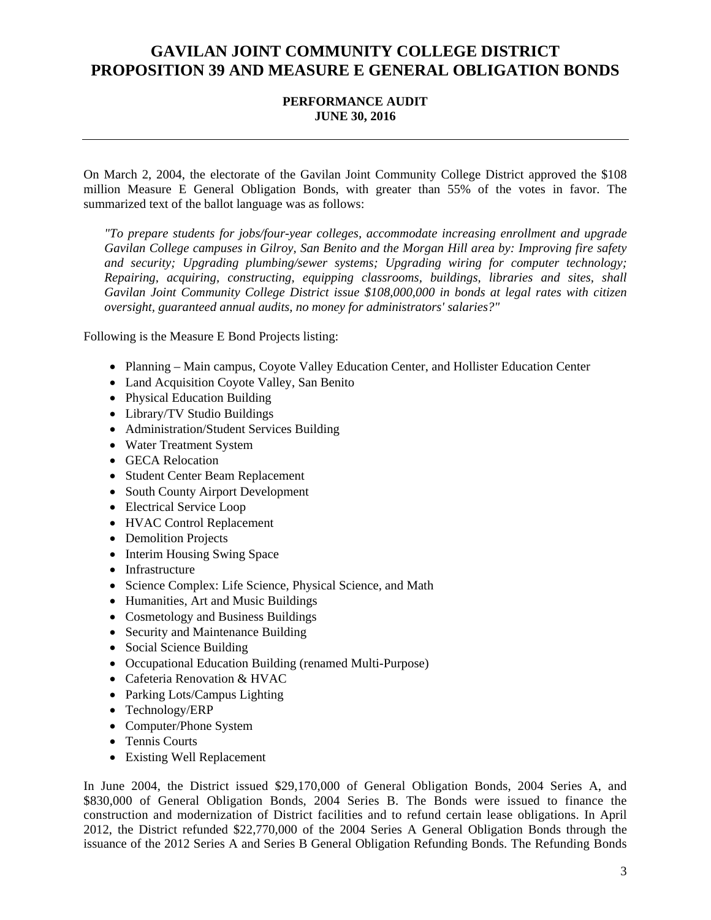## **PERFORMANCE AUDIT JUNE 30, 2016**

On March 2, 2004, the electorate of the Gavilan Joint Community College District approved the \$108 million Measure E General Obligation Bonds, with greater than 55% of the votes in favor. The summarized text of the ballot language was as follows:

*"To prepare students for jobs/four-year colleges, accommodate increasing enrollment and upgrade Gavilan College campuses in Gilroy, San Benito and the Morgan Hill area by: Improving fire safety and security; Upgrading plumbing/sewer systems; Upgrading wiring for computer technology; Repairing, acquiring, constructing, equipping classrooms, buildings, libraries and sites, shall Gavilan Joint Community College District issue \$108,000,000 in bonds at legal rates with citizen oversight, guaranteed annual audits, no money for administrators' salaries?"* 

Following is the Measure E Bond Projects listing:

- Planning Main campus, Coyote Valley Education Center, and Hollister Education Center
- Land Acquisition Coyote Valley, San Benito
- Physical Education Building
- Library/TV Studio Buildings
- Administration/Student Services Building
- Water Treatment System
- GECA Relocation
- Student Center Beam Replacement
- South County Airport Development
- Electrical Service Loop
- HVAC Control Replacement
- Demolition Projects
- Interim Housing Swing Space
- Infrastructure
- Science Complex: Life Science, Physical Science, and Math
- Humanities, Art and Music Buildings
- Cosmetology and Business Buildings
- Security and Maintenance Building
- Social Science Building
- Occupational Education Building (renamed Multi-Purpose)
- Cafeteria Renovation & HVAC
- Parking Lots/Campus Lighting
- Technology/ERP
- Computer/Phone System
- Tennis Courts
- Existing Well Replacement

In June 2004, the District issued \$29,170,000 of General Obligation Bonds, 2004 Series A, and \$830,000 of General Obligation Bonds, 2004 Series B. The Bonds were issued to finance the construction and modernization of District facilities and to refund certain lease obligations. In April 2012, the District refunded \$22,770,000 of the 2004 Series A General Obligation Bonds through the issuance of the 2012 Series A and Series B General Obligation Refunding Bonds. The Refunding Bonds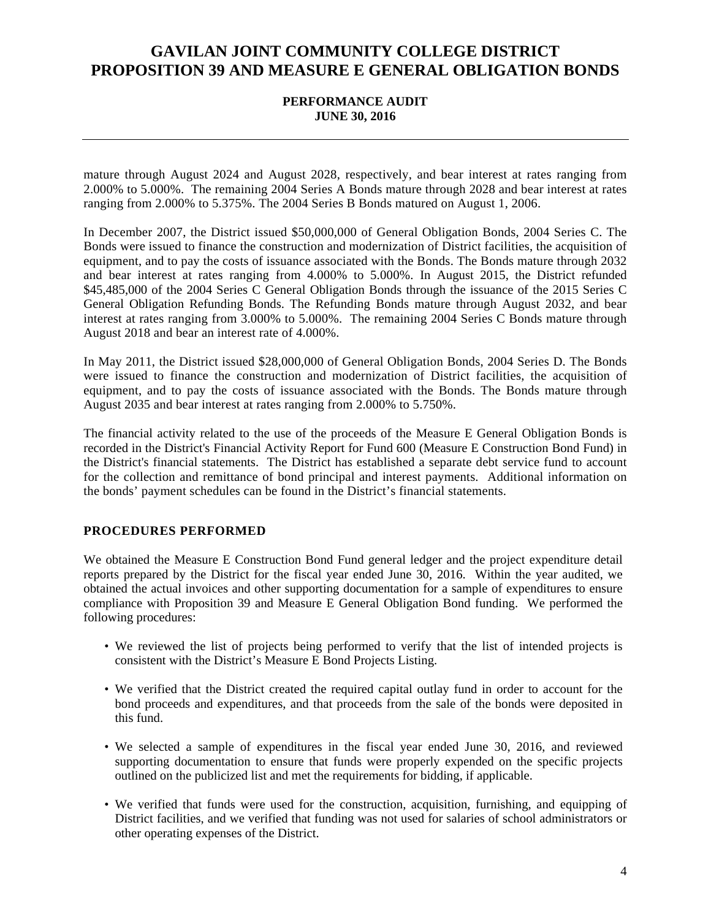### **PERFORMANCE AUDIT JUNE 30, 2016**

mature through August 2024 and August 2028, respectively, and bear interest at rates ranging from 2.000% to 5.000%. The remaining 2004 Series A Bonds mature through 2028 and bear interest at rates ranging from 2.000% to 5.375%. The 2004 Series B Bonds matured on August 1, 2006.

In December 2007, the District issued \$50,000,000 of General Obligation Bonds, 2004 Series C. The Bonds were issued to finance the construction and modernization of District facilities, the acquisition of equipment, and to pay the costs of issuance associated with the Bonds. The Bonds mature through 2032 and bear interest at rates ranging from 4.000% to 5.000%. In August 2015, the District refunded \$45,485,000 of the 2004 Series C General Obligation Bonds through the issuance of the 2015 Series C General Obligation Refunding Bonds. The Refunding Bonds mature through August 2032, and bear interest at rates ranging from 3.000% to 5.000%. The remaining 2004 Series C Bonds mature through August 2018 and bear an interest rate of 4.000%.

In May 2011, the District issued \$28,000,000 of General Obligation Bonds, 2004 Series D. The Bonds were issued to finance the construction and modernization of District facilities, the acquisition of equipment, and to pay the costs of issuance associated with the Bonds. The Bonds mature through August 2035 and bear interest at rates ranging from 2.000% to 5.750%.

The financial activity related to the use of the proceeds of the Measure E General Obligation Bonds is recorded in the District's Financial Activity Report for Fund 600 (Measure E Construction Bond Fund) in the District's financial statements. The District has established a separate debt service fund to account for the collection and remittance of bond principal and interest payments. Additional information on the bonds' payment schedules can be found in the District's financial statements.

### **PROCEDURES PERFORMED**

We obtained the Measure E Construction Bond Fund general ledger and the project expenditure detail reports prepared by the District for the fiscal year ended June 30, 2016. Within the year audited, we obtained the actual invoices and other supporting documentation for a sample of expenditures to ensure compliance with Proposition 39 and Measure E General Obligation Bond funding. We performed the following procedures:

- We reviewed the list of projects being performed to verify that the list of intended projects is consistent with the District's Measure E Bond Projects Listing.
- We verified that the District created the required capital outlay fund in order to account for the bond proceeds and expenditures, and that proceeds from the sale of the bonds were deposited in this fund.
- We selected a sample of expenditures in the fiscal year ended June 30, 2016, and reviewed supporting documentation to ensure that funds were properly expended on the specific projects outlined on the publicized list and met the requirements for bidding, if applicable.
- We verified that funds were used for the construction, acquisition, furnishing, and equipping of District facilities, and we verified that funding was not used for salaries of school administrators or other operating expenses of the District.